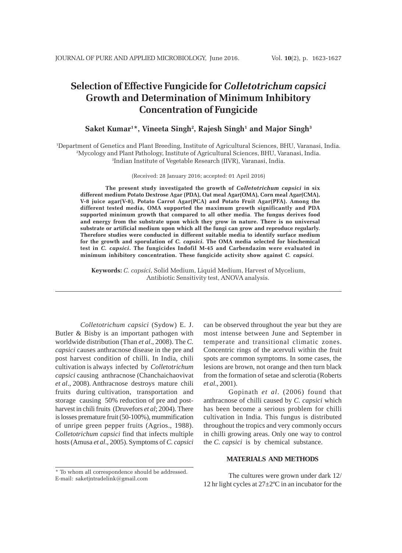# **Selection of Effective Fungicide for** *Colletotrichum capsici* **Growth and Determination of Minimum Inhibitory Concentration of Fungicide**

# $\mathbf S$ aket Kumar<sup>1\*</sup>, Vineeta Singh<sup>2</sup>, Rajesh Singh<sup>1</sup> and Major Singh<sup>3</sup>

1 Department of Genetics and Plant Breeding, Institute of Agricultural Sciences, BHU, Varanasi, India. 2 Mycology and Plant Pathology, Institute of Agricultural Sciences, BHU, Varanasi, India. 3 Indian Institute of Vegetable Research (IIVR), Varanasi, India.

(Received: 28 January 2016; accepted: 01 April 2016)

**The present study investigated the growth of** *Colletotrichum capsici* **in six different medium Potato Dextrose Agar (PDA), Oat meal Agar(OMA), Corn meal Agar(CMA), V-8 juice agar(V-8), Potato Carrot Agar(PCA) and Potato Fruit Agar(PFA). Among the different tested media, OMA supported the maximum growth significantly and PDA supported minimum growth that compared to all other media**. **The fungus derives food and energy from the substrate upon which they grow in nature. There is no universal substrate or artificial medium upon which all the fungi can grow and reproduce regularly. Therefore studies were conducted in different suitable media to identify surface medium for the growth and sporulation of** *C. capsici***. The OMA media selected for biochemical test in** *C. capsici***. The fungicides Indofil M-45 and Carbendazim were evaluated in minimum inhibitory concentration. These fungicide activity show against** *C. capsici***.**

**Keywords:** *C. capsici*, Solid Medium, Liquid Medium, Harvest of Mycelium, Antibiotic Sensitivity test, ANOVA analysis.

*Colletotrichum capsici* (Sydow) E. J. Butler & Bisby is an important pathogen with worldwide distribution (Than *et al*., 2008). The *C. capsici* causes anthracnose disease in the pre and post harvest condition of chilli. In India, chili cultivation is always infected by *Colletotrichum capsici* causing anthracnose (Chanchaichaovivat *et al*., 2008). Anthracnose destroys mature chili fruits during cultivation, transportation and storage causing 50% reduction of pre and postharvest in chili fruits (Druvefors *et al*; 2004). There islosses premature fruit (50-100%), mummification of unripe green pepper fruits (Agrios., 1988). *Colletotrichum capsici* find that infects multiple hosts (Amusa *et al*., 2005). Symptoms of *C. capsici*

can be observed throughout the year but they are most intense between June and September in temperate and transitional climatic zones. Concentric rings of the acervuli within the fruit spots are common symptoms. In some cases, the lesions are brown, not orange and then turn black from the formation of setae and sclerotia (Roberts *et al*., 2001).

Gopinath *et al*. (2006) found that anthracnose of chilli caused by *C. capsici* which has been become a serious problem for chilli cultivation in India. This fungus is distributed throughout the tropics and very commonly occurs in chilli growing areas. Only one way to control the *C. capsici* is by chemical substance.

### **MATERIALS AND METHODS**

The cultures were grown under dark 12/ 12 hr light cycles at 27±2ºC in an incubator for the

<sup>\*</sup> To whom all correspondence should be addressed. E-mail: saketjntradelink@gmail.com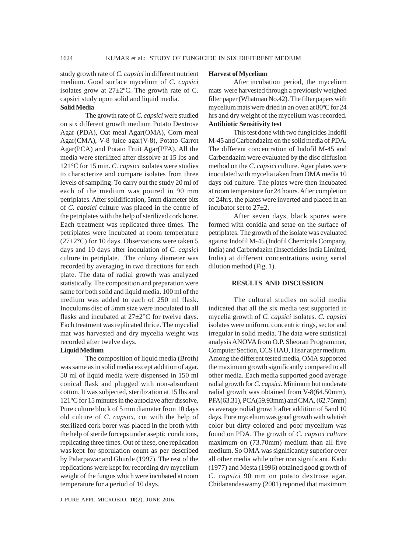study growth rate of *C. capsici* in different nutrient medium. Good surface mycelium of *C. capsici* isolates grow at  $27 \pm 2$ °C. The growth rate of C. capsici study upon solid and liquid media.

# **Solid Media**

The growth rate of *C. capsici* were studied on six different growth medium Potato Dextrose Agar (PDA), Oat meal Agar(OMA), Corn meal Agar(CMA), V-8 juice agar(V-8), Potato Carrot Agar(PCA) and Potato Fruit Agar(PFA). All the media were sterilized after dissolve at 15 lbs and 121°C for 15 min. *C. capsici* isolates were studies to characterize and compare isolates from three levels of sampling. To carry out the study 20 ml of each of the medium was poured in 90 mm petriplates. After solidification, 5mm diameter bits of *C. capsici* culture was placed in the centre of the petriplates with the help of sterilized cork borer. Each treatment was replicated three times. The petriplates were incubated at room temperature  $(27\pm2\degree C)$  for 10 days. Observations were taken 5 days and 10 days after inoculation of *C. capsici* culture in petriplate. The colony diameter was recorded by averaging in two directions for each plate. The data of radial growth was analyzed statistically. The composition and preparation were same for both solid and liquid media. 100 ml of the medium was added to each of 250 ml flask. Inoculums disc of 5mm size were inoculated to all flasks and incubated at  $27 \pm 2^{\circ}$ C for twelve days. Each treatment was replicated thrice. The mycelial mat was harvested and dry mycelia weight was recorded after twelve days.

#### **Liquid Medium**

The composition of liquid media (Broth) was same as in solid media except addition of agar. 50 ml of liquid media were dispensed in 150 ml conical flask and plugged with non-absorbent cotton. It was subjected, sterilization at 15 lbs and 121°C for 15 minutes in the autoclave after dissolve. Pure culture block of 5 mm diameter from 10 days old culture of *C. capsici*, cut with the help of sterilized cork borer was placed in the broth with the help of sterile forceps under aseptic conditions, replicating three times. Out of these, one replication was kept for sporulation count as per described by Palarpawar and Ghurde (1997). The rest of the replications were kept for recording dry mycelium weight of the fungus which were incubated at room temperature for a period of 10 days.

#### **Harvest of Mycelium**

After incubation period, the mycelium mats were harvested through a previously weighed filter paper (Whatman No.42). The filter papers with mycelium mats were dried in an oven at 80°C for 24 hrs and dry weight of the mycelium was recorded. **Antibiotic Sensitivity test**

This test done with two fungicides Indofil M-45 and Carbendazim on the solid media of PDA**.** The different concentration of Indofil M-45 and Carbendazim were evaluated by the disc diffusion method on the *C. capsici* culture. Agar plates were inoculated with mycelia taken from OMA media 10 days old culture. The plates were then incubated at room temperature for 24 hours. After completion of 24hrs, the plates were inverted and placed in an incubator set to 27±2.

After seven days, black spores were formed with conidia and setae on the surface of petriplates. The growth of the isolate was evaluated against Indofil M-45 (Indofil Chemicals Company, India) and Carbendazim (Insecticides India Limited, India) at different concentrations using serial dilution method (Fig. 1).

#### **RESULTS AND DISCUSSION**

The cultural studies on solid media indicated that all the six media test supported in mycelia growth of *C. capsici* isolates. *C. capsici* isolates were uniform, concentric rings, sector and irregular in solid media. The data were statistical analysis ANOVA from O.P. Sheoran Programmer, Computer Section, CCS HAU, Hisar at per medium. Among the different tested media, OMA supported the maximum growth significantly compared to all other media. Each media supported good average radial growth for *C. capsici*. Minimum but moderate radial growth was obtained from V-8(64.50mm), PFA(63.31), PCA(59.93mm) and CMA, (62.75mm) as average radial growth after addition of 5and 10 days. Pure mycelium was good growth with whitish color but dirty colored and poor mycelium was found on PDA. The growth of *C. capsici culture* maximum on (73.70mm) medium than all five medium. So OMA was significantly superior over all other media while other non significant. Kadu (1977) and Mesta (1996) obtained good growth of *C. capsici* 90 mm on potato dextrose agar. Chidanandaswamy (2001) reported that maximum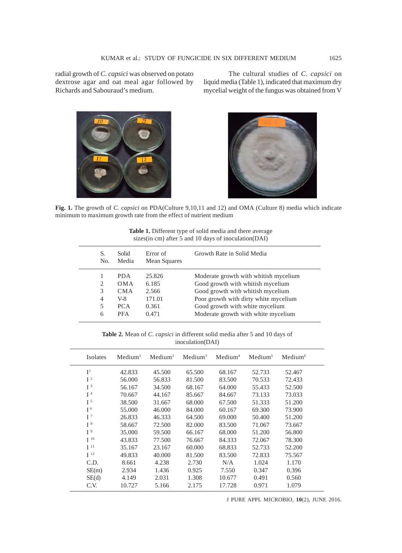radial growth of *C. capsici* was observed on potato dextrose agar and oat meal agar followed by Richards and Sabouraud's medium.

The cultural studies of *C. capsici* on liquid media (Table 1), indicated that maximum dry mycelial weight of the fungus was obtained from V





**Fig. 1.** The growth of *C. capsici* on PDA(Culture 9,10,11 and 12) and OMA (Culture 8) media which indicate minimum to maximum growth rate from the effect of nutrient medium

| <b>Table 1.</b> Different type of solid media and there average |  |  |
|-----------------------------------------------------------------|--|--|
| sizes (in cm) after 5 and 10 days of inoculation (DAI)          |  |  |

| S.<br>N <sub>0</sub> | Solid<br>Media | Error of<br>Mean Squares | Growth Rate in Solid Media            |
|----------------------|----------------|--------------------------|---------------------------------------|
|                      | <b>PDA</b>     | 25.826                   | Moderate growth with whitish mycelium |
| 2                    | <b>OMA</b>     | 6.185                    | Good growth with whitish mycelium     |
| 3                    | <b>CMA</b>     | 2.566                    | Good growth with whitish mycelium     |
| 4                    | V-8            | 171.01                   | Poor growth with dirty white mycelium |
| 5                    | PCA            | 0.361                    | Good growth with white mycelium       |
| 6                    | <b>PFA</b>     | 0.471                    | Moderate growth with white mycelium   |

**Table 2.** Mean of *C. capsici* in different solid media after 5 and 10 days of inoculation(DAI)

| Isolates        | $M$ edium <sup>1</sup> | Median <sup>2</sup> | Median <sup>3</sup> | $M$ edium <sup>4</sup> | Median <sup>5</sup> | Medium <sup>6</sup> |
|-----------------|------------------------|---------------------|---------------------|------------------------|---------------------|---------------------|
| I <sup>1</sup>  | 42.833                 | 45.500              | 65.500              | 68.167                 | 52.733              | 52.467              |
| $I^2$           | 56.000                 | 56.833              | 81.500              | 83.500                 | 70.533              | 72.433              |
| I <sup>3</sup>  | 56.167                 | 34.500              | 68.167              | 64.000                 | 55.433              | 52.500              |
| I <sup>4</sup>  | 70.667                 | 44.167              | 85.667              | 84.667                 | 73.133              | 73.033              |
| I <sup>5</sup>  | 38.500                 | 31.667              | 68.000              | 67.500                 | 51.333              | 51.200              |
| I <sup>6</sup>  | 55,000                 | 46.000              | 84.000              | 60.167                 | 69.300              | 73.900              |
| $I^7$           | 26.833                 | 46.333              | 64.500              | 69.000                 | 50.400              | 51.200              |
| $I^8$           | 58.667                 | 72.500              | 82.000              | 83.500                 | 71.067              | 73.667              |
| I <sup>9</sup>  | 35.000                 | 59.500              | 66.167              | 68.000                 | 51.200              | 56.800              |
| I <sup>10</sup> | 43.833                 | 77.500              | 76.667              | 84.333                 | 72.067              | 78.300              |
| I <sup>11</sup> | 35.167                 | 23.167              | 60.000              | 68.833                 | 52.733              | 52.200              |
| I <sup>12</sup> | 49.833                 | 40.000              | 81.500              | 83.500                 | 72.833              | 75.567              |
| C.D.            | 8.661                  | 4.238               | 2.730               | N/A                    | 1.024               | 1.170               |
| SE(m)           | 2.934                  | 1.436               | 0.925               | 7.550                  | 0.347               | 0.396               |
| SE(d)           | 4.149                  | 2.031               | 1.308               | 10.677                 | 0.491               | 0.560               |
| C.V.            | 10.727                 | 5.166               | 2.175               | 17.728                 | 0.971               | 1.079               |
|                 |                        |                     |                     |                        |                     |                     |

J PURE APPL MICROBIO*,* **10**(2), JUNE 2016.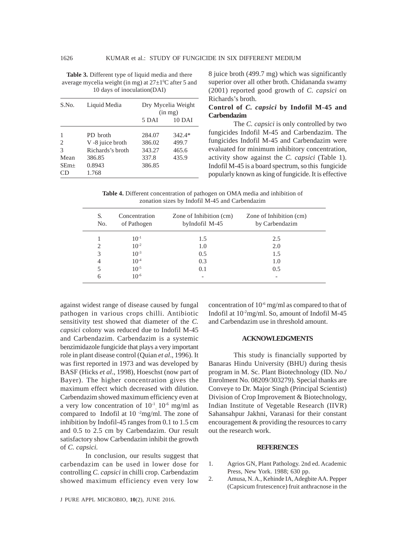**Table 3.** Different type of liquid media and there average mycelia weight (in mg) at  $27 \pm 1$ <sup>o</sup>C after 5 and 10 days of inoculation(DAI)

| S.No.  | Liquid Media     | Dry Mycelia Weight<br>$(in \, mg)$ |          |
|--------|------------------|------------------------------------|----------|
|        |                  | 5 DAI                              | 10 DAI   |
| 1      | PD broth         | 284.07                             | $342.4*$ |
| 2      | V -8 juice broth | 386.02                             | 499.7    |
| 3      | Richards's broth | 343.27                             | 465.6    |
| Mean   | 386.85           | 337.8                              | 435.9    |
| $SEm+$ | 0.8943           | 386.85                             |          |
| CD     | 1.768            |                                    |          |

8 juice broth (499.7 mg) which was significantly superior over all other broth. Chidananda swamy (2001) reported good growth of *C. capsici* on Richards's broth.

# **Control of** *C. capsici* **by Indofil M-45 and Carbendazim**

The *C. capsici* is only controlled by two fungicides Indofil M-45 and Carbendazim. The fungicides Indofil M-45 and Carbendazim were evaluated for minimum inhibitory concentration, activity show against the *C. capsici* (Table 1). Indofil M-45 is a board spectrum, so this fungicide popularly known as king of fungicide. It is effective

**Table 4.** Different concentration of pathogen on OMA media and inhibition of zonation sizes by Indofil M-45 and Carbendazim

| S.<br>No. | Concentration<br>of Pathogen | Zone of Inhibition (cm)<br>byIndofil M-45 | Zone of Inhibition (cm)<br>by Carbendazim |
|-----------|------------------------------|-------------------------------------------|-------------------------------------------|
|           | $10^{-1}$                    | 1.5                                       | 2.5                                       |
|           | $10^{-2}$                    | 1.0                                       | 2.0                                       |
| 3         | $10^{-3}$                    | 0.5                                       | 1.5                                       |
| 4         | $10^{-4}$                    | 0.3                                       | 1.0                                       |
|           | $10^{-5}$                    | 0.1                                       | 0.5                                       |
| 6         | $10^{-6}$                    | $\overline{\phantom{0}}$                  |                                           |

against widest range of disease caused by fungal pathogen in various crops chilli. Antibiotic sensitivity test showed that diameter of the *C. capsici* colony was reduced due to Indofil M-45 and Carbendazim. Carbendazim is a systemic benzimidazole fungicide that plays a very important role in plant disease control (Quian *et al*., 1996). It was first reported in 1973 and was developed by BASF (Hicks *et al*., 1998), Hoeschst (now part of Bayer). The higher concentration gives the maximum effect which decreased with dilution. Carbendazim showed maximum efficiency even at a very low concentration of  $10^{-1}$   $10^{-6}$  mg/ml as compared to Indofil at  $10^{-2}$ mg/ml. The zone of inhibition by Indofil-45 ranges from 0.1 to 1.5 cm and 0.5 to 2.5 cm by Carbendazim. Our result satisfactory show Carbendazim inhibit the growth of *C. capsici.*

In conclusion, our results suggest that carbendazim can be used in lower dose for controlling *C. capsici* in chilli crop. Carbendazim showed maximum efficiency even very low

J PURE APPL MICROBIO*,* **10**(2), JUNE 2016.

concentration of  $10^{-6}$  mg/ml as compared to that of Indofil at  $10<sup>2</sup>$ mg/ml. So, amount of Indofil M-45 and Carbendazim use in threshold amount.

## **ACKNOWLEDGMENTS**

This study is financially supported by Banaras Hindu University (BHU) during thesis program in M. Sc. Plant Biotechnology (ID. No.**/** Enrolment No. 08209/303279). Special thanks are Conveye to Dr. Major Singh (Principal Scientist) Division of Crop Improvement & Biotechnology, Indian Institute of Vegetable Research (IIVR) Sahansahpur Jakhni, Varanasi for their constant encouragement & providing the resources to carry out the research work.

#### **REFERENCES**

- 1. Agrios GN, Plant Pathology. 2nd ed. Academic Press, New York. 1988; 630 pp.
- 2. Amusa, N. A., Kehinde IA, Adegbite AA. Pepper (Capsicum frutescence) fruit anthracnose in the